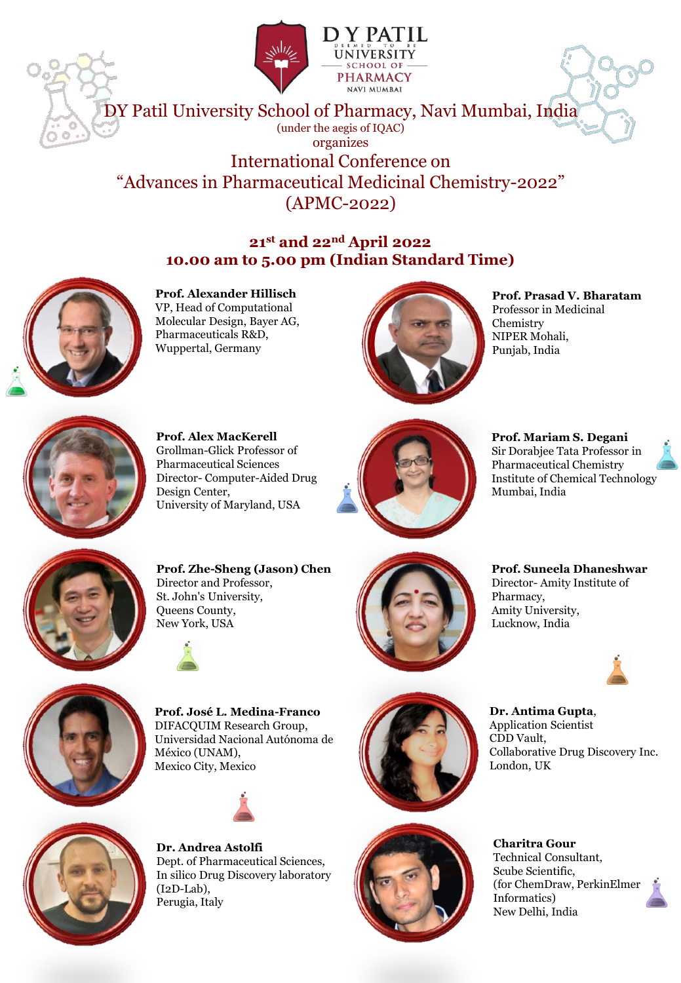



DY Patil University School of Pharmacy, Navi Mumbai, India (under the aegis of IQAC) organizes International Conference on "Advances in Pharmaceutical Medicinal Chemistry-2022" (APMC-2022)

### **21st and 22nd April 2022 10.00 am to 5.00 pm (Indian Standard Time)**



**Prof. Alexander Hillisch** VP, Head of Computational Molecular Design, Bayer AG, Pharmaceuticals R&D, Wuppertal, Germany



**Prof. Prasad V. Bharatam** Professor in Medicinal Chemistry NIPER Mohali, Punjab, India



**Prof. Alex MacKerell** Grollman-Glick Professor of Pharmaceutical Sciences Director- Computer-Aided Drug Design Center, University of Maryland, USA



**Prof. Mariam S. Degani** Sir Dorabjee Tata Professor in Pharmaceutical Chemistry Institute of Chemical Technology Mumbai, India





**Prof. Zhe-Sheng (Jason) Chen**  Director and Professor, St. John's University, Queens County, New York, USA





**Prof. Suneela Dhaneshwar** Director- Amity Institute of Pharmacy, Amity University, Lucknow, India

**Dr. Antima Gupta**, Application Scientist

CDD Vault,

London, UK



**Prof. José L. Medina-Franco** DIFACQUIM Research Group, Universidad Nacional Autónoma de México (UNAM), Mexico City, Mexico





**Dr. Andrea Astolfi** Dept. of Pharmaceutical Sciences, In silico Drug Discovery laboratory (I2D-Lab), Perugia, Italy



**Charitra Gour** Technical Consultant, Scube Scientific, (for ChemDraw, PerkinElmer Informatics) New Delhi, India

Collaborative Drug Discovery Inc.

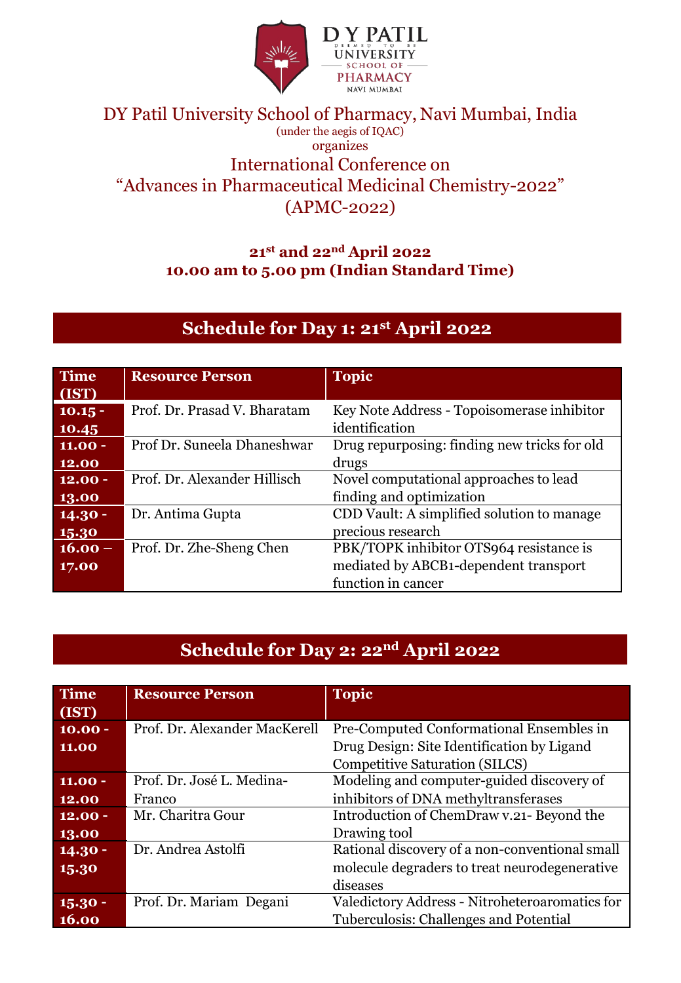

### DY Patil University School of Pharmacy, Navi Mumbai, India (under the aegis of IQAC) organizes International Conference on "Advances in Pharmaceutical Medicinal Chemistry-2022" (APMC-2022)

### **21st and 22nd April 2022 10.00 am to 5.00 pm (Indian Standard Time)**

# **Schedule for Day 1: 21st April 2022**

| <b>Time</b> | <b>Resource Person</b>       | <b>Topic</b>                                 |
|-------------|------------------------------|----------------------------------------------|
| (IST)       |                              |                                              |
| $10.15 -$   | Prof. Dr. Prasad V. Bharatam | Key Note Address - Topoisomerase inhibitor   |
| 10.45       |                              | identification                               |
| $11.00 -$   | Prof Dr. Suneela Dhaneshwar  | Drug repurposing: finding new tricks for old |
| 12.00       |                              | drugs                                        |
| $12.00 -$   | Prof. Dr. Alexander Hillisch | Novel computational approaches to lead       |
| 13.00       |                              | finding and optimization                     |
| $14.30 -$   | Dr. Antima Gupta             | CDD Vault: A simplified solution to manage   |
| 15.30       |                              | precious research                            |
| $16.00 -$   | Prof. Dr. Zhe-Sheng Chen     | PBK/TOPK inhibitor OTS964 resistance is      |
| 17.00       |                              | mediated by ABCB1-dependent transport        |
|             |                              | function in cancer                           |

## **Schedule for Day 2: 22nd April 2022**

| <b>Time</b> | <b>Resource Person</b>        | <b>Topic</b>                                   |
|-------------|-------------------------------|------------------------------------------------|
| (IST)       |                               |                                                |
| $10.00 -$   | Prof. Dr. Alexander MacKerell | Pre-Computed Conformational Ensembles in       |
| 11.00       |                               | Drug Design: Site Identification by Ligand     |
|             |                               | <b>Competitive Saturation (SILCS)</b>          |
| $11.00 -$   | Prof. Dr. José L. Medina-     | Modeling and computer-guided discovery of      |
| 12.00       | Franco                        | inhibitors of DNA methyltransferases           |
| $12.00 -$   | Mr. Charitra Gour             | Introduction of ChemDraw v.21- Beyond the      |
| 13.00       |                               | Drawing tool                                   |
| $14.30 -$   | Dr. Andrea Astolfi            | Rational discovery of a non-conventional small |
| 15.30       |                               | molecule degraders to treat neurodegenerative  |
|             |                               | diseases                                       |
| $15.30 -$   | Prof. Dr. Mariam Degani       | Valedictory Address - Nitroheteroaromatics for |
| 16.00       |                               | Tuberculosis: Challenges and Potential         |